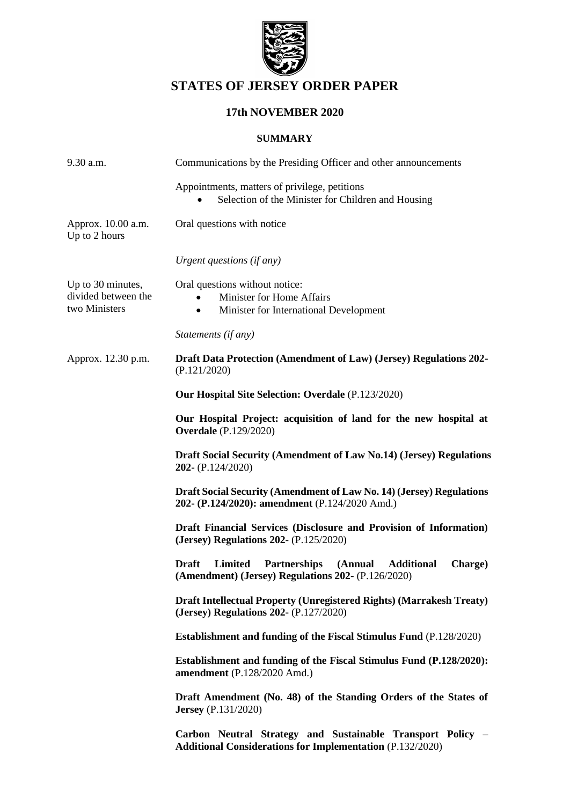

# **STATES OF JERSEY ORDER PAPER**

### **17th NOVEMBER 2020**

### **SUMMARY**

| 9.30 a.m.                                                 | Communications by the Presiding Officer and other announcements                                                                                        |
|-----------------------------------------------------------|--------------------------------------------------------------------------------------------------------------------------------------------------------|
|                                                           | Appointments, matters of privilege, petitions<br>Selection of the Minister for Children and Housing                                                    |
| Approx. 10.00 a.m.<br>Up to 2 hours                       | Oral questions with notice                                                                                                                             |
|                                                           | Urgent questions (if any)                                                                                                                              |
| Up to 30 minutes,<br>divided between the<br>two Ministers | Oral questions without notice:<br>Minister for Home Affairs<br>Minister for International Development<br>$\bullet$                                     |
|                                                           | Statements (if any)                                                                                                                                    |
| Approx. 12.30 p.m.                                        | Draft Data Protection (Amendment of Law) (Jersey) Regulations 202-<br>(P.121/2020)                                                                     |
|                                                           | <b>Our Hospital Site Selection: Overdale (P.123/2020)</b>                                                                                              |
|                                                           | Our Hospital Project: acquisition of land for the new hospital at<br><b>Overdale</b> (P.129/2020)                                                      |
|                                                           | Draft Social Security (Amendment of Law No.14) (Jersey) Regulations<br>202- $(P.124/2020)$                                                             |
|                                                           | Draft Social Security (Amendment of Law No. 14) (Jersey) Regulations<br>202- (P.124/2020): amendment (P.124/2020 Amd.)                                 |
|                                                           | Draft Financial Services (Disclosure and Provision of Information)<br>(Jersey) Regulations 202- (P.125/2020)                                           |
|                                                           | <b>Draft</b><br><b>Limited</b><br><b>Partnerships</b><br>(Annual<br><b>Additional</b><br>Charge)<br>(Amendment) (Jersey) Regulations 202- (P.126/2020) |
|                                                           | Draft Intellectual Property (Unregistered Rights) (Marrakesh Treaty)<br>(Jersey) Regulations 202- (P.127/2020)                                         |
|                                                           | <b>Establishment and funding of the Fiscal Stimulus Fund (P.128/2020)</b>                                                                              |
|                                                           | Establishment and funding of the Fiscal Stimulus Fund (P.128/2020):<br><b>amendment</b> (P.128/2020 Amd.)                                              |
|                                                           | Draft Amendment (No. 48) of the Standing Orders of the States of<br><b>Jersey</b> $(P.131/2020)$                                                       |
|                                                           | Carbon Neutral Strategy and Sustainable Transport Policy –<br><b>Additional Considerations for Implementation (P.132/2020)</b>                         |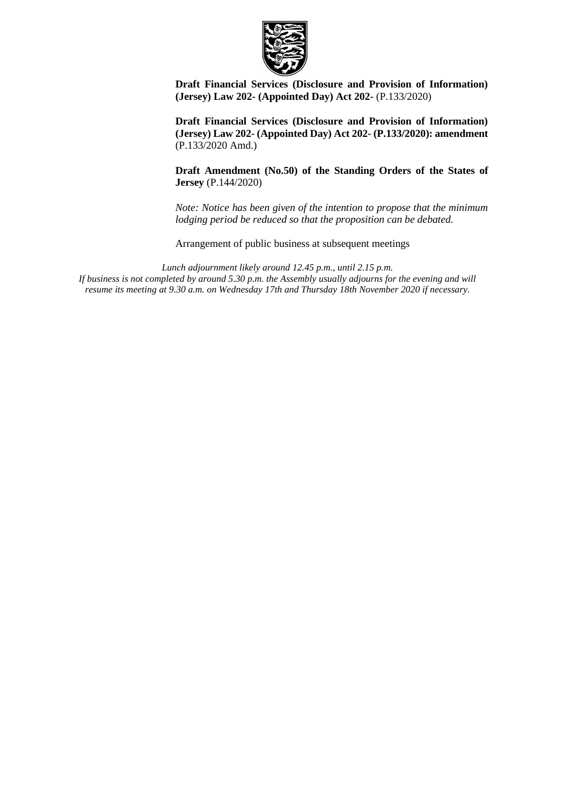

**[Draft Financial Services \(Disclosure and Provision of Information\)](https://statesassembly.gov.je/AssemblyPropositions/2020/P.133-2020.pdf)  (Jersey) Law 202- [\(Appointed Day\) Act 202-](https://statesassembly.gov.je/AssemblyPropositions/2020/P.133-2020.pdf)** (P.133/2020)

**[Draft Financial Services \(Disclosure and Provision of Information\)](https://statesassembly.gov.je/AssemblyPropositions/2020/P.133-2020Amd.pdf)  (Jersey) Law 202- (Appointed Day) Act 202- [\(P.133/2020\): amendment](https://statesassembly.gov.je/AssemblyPropositions/2020/P.133-2020Amd.pdf)** [\(P.133/2020 Amd.\)](https://statesassembly.gov.je/AssemblyPropositions/2020/P.133-2020Amd.pdf) 

**Draft Amendment (No.50) of the Standing Orders of the States of Jersey** [\(P.144/2020\)](https://statesassembly.gov.je/assemblypropositions/2020/p.144-2020.pdf)

*Note: Notice has been given of the intention to propose that the minimum lodging period be reduced so that the proposition can be debated.*

Arrangement of public business at subsequent meetings

*Lunch adjournment likely around 12.45 p.m., until 2.15 p.m. If business is not completed by around 5.30 p.m. the Assembly usually adjourns for the evening and will resume its meeting at 9.30 a.m. on Wednesday 17th and Thursday 18th November 2020 if necessary.*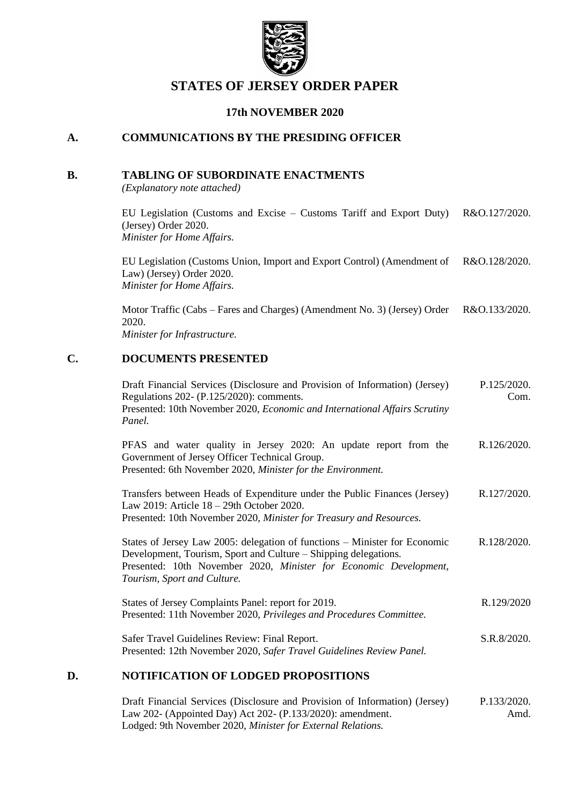

## **STATES OF JERSEY ORDER PAPER**

### **17th NOVEMBER 2020**

### **A. COMMUNICATIONS BY THE PRESIDING OFFICER**

#### **B. TABLING OF SUBORDINATE ENACTMENTS**

*(Explanatory note attached)*

[EU Legislation \(Customs and Excise –](https://www.jerseylaw.je/laws/enacted/Pages/RO-127-2020.aspx) Customs Tariff and Export Duty) [\(Jersey\) Order 2020.](https://www.jerseylaw.je/laws/enacted/Pages/RO-127-2020.aspx) *[Minister for Home Affairs.](https://www.jerseylaw.je/laws/enacted/Pages/RO-127-2020.aspx)* [R&O.127/2020.](https://www.jerseylaw.je/laws/enacted/Pages/RO-127-2020.aspx)

[EU Legislation \(Customs Union, Import and Export Control\) \(Amendment of](https://www.jerseylaw.je/laws/enacted/Pages/RO-128-2020.aspx)  [Law\) \(Jersey\) Order 2020.](https://www.jerseylaw.je/laws/enacted/Pages/RO-128-2020.aspx) *[Minister for Home Affairs.](https://www.jerseylaw.je/laws/enacted/Pages/RO-128-2020.aspx)* [R&O.128/2020.](https://www.jerseylaw.je/laws/enacted/Pages/RO-128-2020.aspx)

Motor Traffic (Cabs – [Fares and Charges\) \(Amendment No. 3\) \(Jersey\) Order](https://www.jerseylaw.je/laws/enacted/Pages/RO-133-2020.aspx)  [2020.](https://www.jerseylaw.je/laws/enacted/Pages/RO-133-2020.aspx) *[Minister for Infrastructure.](https://www.jerseylaw.je/laws/enacted/Pages/RO-133-2020.aspx)* [R&O.133/2020.](https://www.jerseylaw.je/laws/enacted/Pages/RO-133-2020.aspx)

### **C. DOCUMENTS PRESENTED**

| D. | <b>NOTIFICATION OF LODGED PROPOSITIONS</b>                                                                                                                                                                                                        |                     |
|----|---------------------------------------------------------------------------------------------------------------------------------------------------------------------------------------------------------------------------------------------------|---------------------|
|    | Safer Travel Guidelines Review: Final Report.<br>Presented: 12th November 2020, Safer Travel Guidelines Review Panel.                                                                                                                             | S.R.8/2020.         |
|    | States of Jersey Complaints Panel: report for 2019.<br>Presented: 11th November 2020, Privileges and Procedures Committee.                                                                                                                        | R.129/2020          |
|    | States of Jersey Law 2005: delegation of functions – Minister for Economic<br>Development, Tourism, Sport and Culture – Shipping delegations.<br>Presented: 10th November 2020, Minister for Economic Development,<br>Tourism, Sport and Culture. | R.128/2020.         |
|    | Transfers between Heads of Expenditure under the Public Finances (Jersey)<br>Law 2019: Article 18 – 29th October 2020.<br>Presented: 10th November 2020, Minister for Treasury and Resources.                                                     | R.127/2020.         |
|    | PFAS and water quality in Jersey 2020: An update report from the<br>Government of Jersey Officer Technical Group.<br>Presented: 6th November 2020, Minister for the Environment.                                                                  | R.126/2020.         |
|    | Draft Financial Services (Disclosure and Provision of Information) (Jersey)<br>Regulations 202- (P.125/2020): comments.<br>Presented: 10th November 2020, Economic and International Affairs Scrutiny<br>Panel.                                   | P.125/2020.<br>Com. |

[Draft Financial Services \(Disclosure and Provision of Information\) \(Jersey\)](https://statesassembly.gov.je/AssemblyPropositions/2020/P.133-2020Amd.pdf)  Law 202- (Appointed Day) Act 202- [\(P.133/2020\): amendment.](https://statesassembly.gov.je/AssemblyPropositions/2020/P.133-2020Amd.pdf) Lodged: 9th November 2020, *[Minister for External Relations.](https://statesassembly.gov.je/AssemblyPropositions/2020/P.133-2020Amd.pdf)* [P.133/2020.](https://statesassembly.gov.je/AssemblyPropositions/2020/P.133-2020Amd.pdf) [Amd.](https://statesassembly.gov.je/AssemblyPropositions/2020/P.133-2020Amd.pdf)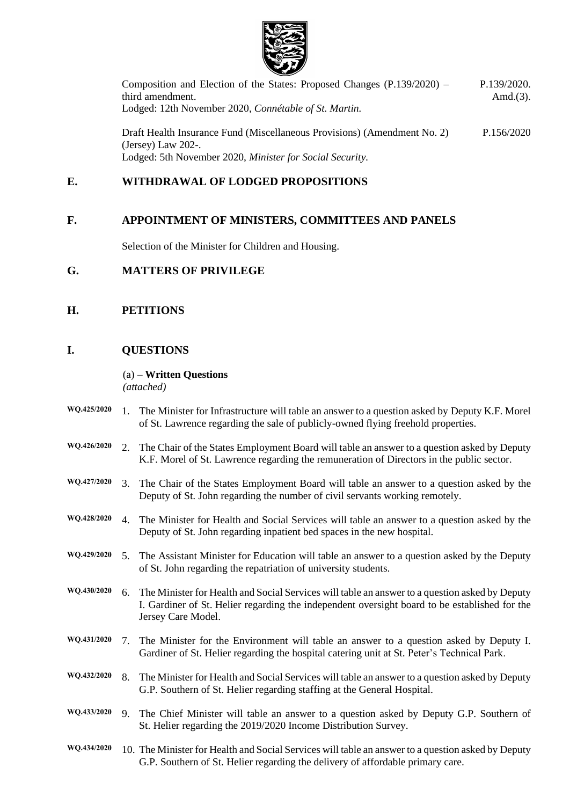

| Composition and Election of the States: Proposed Changes $(P.139/2020)$ – | P.139/2020.  |
|---------------------------------------------------------------------------|--------------|
| third amendment.                                                          | Amd. $(3)$ . |
| Lodged: 12th November 2020, <i>Connétable of St. Martin.</i>              |              |
|                                                                           |              |

[Draft Health Insurance Fund \(Miscellaneous Provisions\) \(Amendment No. 2\)](https://statesassembly.gov.je/AssemblyPropositions/2020/P.156-2020.pdf)  [\(Jersey\) Law 202-.](https://statesassembly.gov.je/AssemblyPropositions/2020/P.156-2020.pdf) [Lodged: 5th November 2020,](https://statesassembly.gov.je/AssemblyPropositions/2020/P.156-2020.pdf) *Minister for Social Security.* [P.156/2020](https://statesassembly.gov.je/assemblypropositions/2020/p.156-2020.pdf)

### **E. WITHDRAWAL OF LODGED PROPOSITIONS**

### **F. APPOINTMENT OF MINISTERS, COMMITTEES AND PANELS**

Selection of the Minister for Children and Housing.

### **G. MATTERS OF PRIVILEGE**

### **H. PETITIONS**

### **I. QUESTIONS**

### (a) – **Written Questions**

*(attached)*

- **WQ.425/2020** 1. The Minister for Infrastructure will table an answer to a question asked by Deputy K.F. Morel of St. Lawrence regarding the sale of publicly-owned flying freehold properties.
- **WQ.426/2020** 2. The Chair of the States Employment Board will table an answer to a question asked by Deputy K.F. Morel of St. Lawrence regarding the remuneration of Directors in the public sector.
- **WQ.427/2020** 3. The Chair of the States Employment Board will table an answer to a question asked by the Deputy of St. John regarding the number of civil servants working remotely.
- **WQ.428/2020** 4. The Minister for Health and Social Services will table an answer to a question asked by the Deputy of St. John regarding inpatient bed spaces in the new hospital.
- **WQ.429/2020** 5. The Assistant Minister for Education will table an answer to a question asked by the Deputy of St. John regarding the repatriation of university students.
- **WQ.430/2020** 6. The Minister for Health and Social Services will table an answer to a question asked by Deputy I. Gardiner of St. Helier regarding the independent oversight board to be established for the Jersey Care Model.
- **WQ.431/2020** 7. The Minister for the Environment will table an answer to a question asked by Deputy I. Gardiner of St. Helier regarding the hospital catering unit at St. Peter's Technical Park.
- **WQ.432/2020** 8. The Minister for Health and Social Services will table an answer to a question asked by Deputy G.P. Southern of St. Helier regarding staffing at the General Hospital.
- **WQ.433/2020** 9. The Chief Minister will table an answer to a question asked by Deputy G.P. Southern of St. Helier regarding the 2019/2020 Income Distribution Survey.
- **WQ.434/2020** 10. The Minister for Health and Social Services will table an answer to a question asked by Deputy G.P. Southern of St. Helier regarding the delivery of affordable primary care.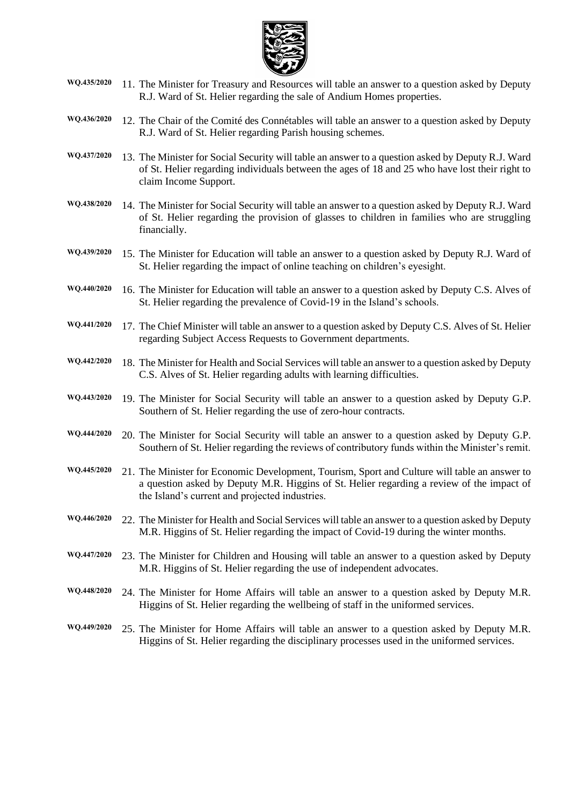

- **WQ.435/2020** 11. The Minister for Treasury and Resources will table an answer to a question asked by Deputy R.J. Ward of St. Helier regarding the sale of Andium Homes properties.
- **WQ.436/2020** 12. The Chair of the Comité des Connétables will table an answer to a question asked by Deputy R.J. Ward of St. Helier regarding Parish housing schemes.
- **WQ.437/2020** 13. The Minister for Social Security will table an answer to a question asked by Deputy R.J. Ward of St. Helier regarding individuals between the ages of 18 and 25 who have lost their right to claim Income Support.
- **WQ.438/2020** 14. The Minister for Social Security will table an answer to a question asked by Deputy R.J. Ward of St. Helier regarding the provision of glasses to children in families who are struggling financially.
- **WQ.439/2020** 15. The Minister for Education will table an answer to a question asked by Deputy R.J. Ward of St. Helier regarding the impact of online teaching on children's eyesight.
- **WQ.440/2020** 16. The Minister for Education will table an answer to a question asked by Deputy C.S. Alves of St. Helier regarding the prevalence of Covid-19 in the Island's schools.
- **WQ.441/2020** 17. The Chief Minister will table an answer to a question asked by Deputy C.S. Alves of St. Helier regarding Subject Access Requests to Government departments.
- **WQ.442/2020** 18. The Minister for Health and Social Services will table an answer to a question asked by Deputy C.S. Alves of St. Helier regarding adults with learning difficulties.
- **WQ.443/2020** 19. The Minister for Social Security will table an answer to a question asked by Deputy G.P. Southern of St. Helier regarding the use of zero-hour contracts.
- **WQ.444/2020** 20. The Minister for Social Security will table an answer to a question asked by Deputy G.P. Southern of St. Helier regarding the reviews of contributory funds within the Minister's remit.
- **WQ.445/2020** 21. The Minister for Economic Development, Tourism, Sport and Culture will table an answer to a question asked by Deputy M.R. Higgins of St. Helier regarding a review of the impact of the Island's current and projected industries.
- **WQ.446/2020** 22. The Minister for Health and Social Services will table an answer to a question asked by Deputy M.R. Higgins of St. Helier regarding the impact of Covid-19 during the winter months.
- **WQ.447/2020** 23. The Minister for Children and Housing will table an answer to a question asked by Deputy M.R. Higgins of St. Helier regarding the use of independent advocates.
- **WQ.448/2020** 24. The Minister for Home Affairs will table an answer to a question asked by Deputy M.R. Higgins of St. Helier regarding the wellbeing of staff in the uniformed services.
- **WQ.449/2020** 25. The Minister for Home Affairs will table an answer to a question asked by Deputy M.R. Higgins of St. Helier regarding the disciplinary processes used in the uniformed services.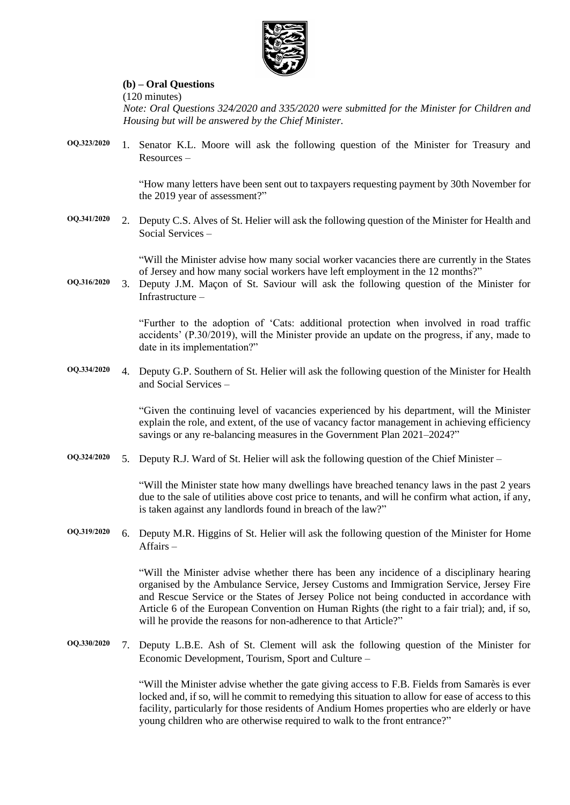

#### **(b) – Oral Questions**

(120 minutes)

*Note: Oral Questions 324/2020 and 335/2020 were submitted for the Minister for Children and Housing but will be answered by the Chief Minister.*

**OQ.323/2020** 1. Senator K.L. Moore will ask the following question of the Minister for Treasury and Resources –

> "How many letters have been sent out to taxpayers requesting payment by 30th November for the 2019 year of assessment?"

**OQ.341/2020** 2. Deputy C.S. Alves of St. Helier will ask the following question of the Minister for Health and Social Services –

> "Will the Minister advise how many social worker vacancies there are currently in the States of Jersey and how many social workers have left employment in the 12 months?"

**OQ.316/2020** 3. Deputy J.M. Maçon of St. Saviour will ask the following question of the Minister for Infrastructure –

> "Further to the adoption of 'Cats: additional protection when involved in road traffic accidents' (P.30/2019), will the Minister provide an update on the progress, if any, made to date in its implementation?"

**OQ.334/2020** 4. Deputy G.P. Southern of St. Helier will ask the following question of the Minister for Health and Social Services –

> "Given the continuing level of vacancies experienced by his department, will the Minister explain the role, and extent, of the use of vacancy factor management in achieving efficiency savings or any re-balancing measures in the Government Plan 2021–2024?"

**OQ.324/2020** 5. Deputy R.J. Ward of St. Helier will ask the following question of the Chief Minister –

"Will the Minister state how many dwellings have breached tenancy laws in the past 2 years due to the sale of utilities above cost price to tenants, and will he confirm what action, if any, is taken against any landlords found in breach of the law?"

**OQ.319/2020** 6. Deputy M.R. Higgins of St. Helier will ask the following question of the Minister for Home Affairs –

> "Will the Minister advise whether there has been any incidence of a disciplinary hearing organised by the Ambulance Service, Jersey Customs and Immigration Service, Jersey Fire and Rescue Service or the States of Jersey Police not being conducted in accordance with Article 6 of the European Convention on Human Rights (the right to a fair trial); and, if so, will he provide the reasons for non-adherence to that Article?"

**OQ.330/2020** 7. Deputy L.B.E. Ash of St. Clement will ask the following question of the Minister for Economic Development, Tourism, Sport and Culture –

> "Will the Minister advise whether the gate giving access to F.B. Fields from Samarès is ever locked and, if so, will he commit to remedying this situation to allow for ease of access to this facility, particularly for those residents of Andium Homes properties who are elderly or have young children who are otherwise required to walk to the front entrance?"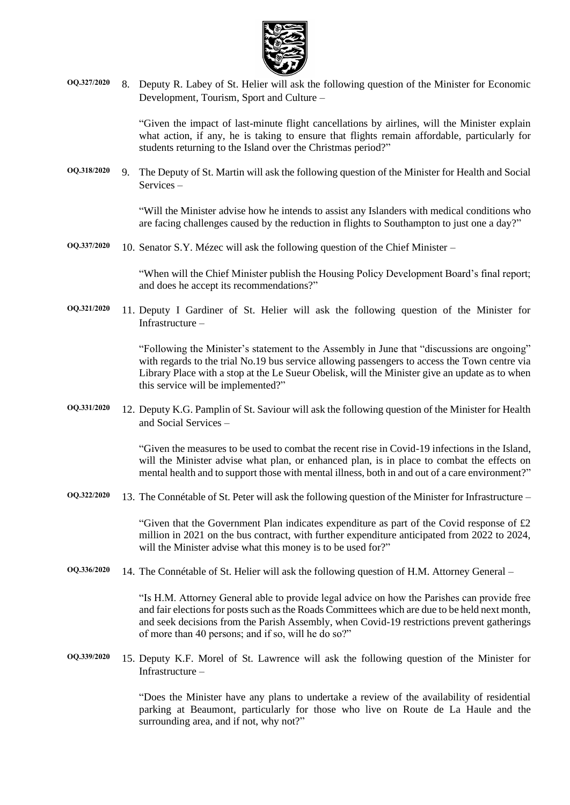

**OQ.327/2020** 8. Deputy R. Labey of St. Helier will ask the following question of the Minister for Economic Development, Tourism, Sport and Culture –

> "Given the impact of last-minute flight cancellations by airlines, will the Minister explain what action, if any, he is taking to ensure that flights remain affordable, particularly for students returning to the Island over the Christmas period?"

**OQ.318/2020** 9. The Deputy of St. Martin will ask the following question of the Minister for Health and Social Services –

> "Will the Minister advise how he intends to assist any Islanders with medical conditions who are facing challenges caused by the reduction in flights to Southampton to just one a day?"

**OQ.337/2020** 10. Senator S.Y. Mézec will ask the following question of the Chief Minister –

"When will the Chief Minister publish the Housing Policy Development Board's final report; and does he accept its recommendations?"

**OQ.321/2020** 11. Deputy I Gardiner of St. Helier will ask the following question of the Minister for Infrastructure –

> "Following the Minister's statement to the Assembly in June that "discussions are ongoing" with regards to the trial No.19 bus service allowing passengers to access the Town centre via Library Place with a stop at the Le Sueur Obelisk, will the Minister give an update as to when this service will be implemented?"

**OQ.331/2020** 12. Deputy K.G. Pamplin of St. Saviour will ask the following question of the Minister for Health and Social Services –

> "Given the measures to be used to combat the recent rise in Covid-19 infections in the Island, will the Minister advise what plan, or enhanced plan, is in place to combat the effects on mental health and to support those with mental illness, both in and out of a care environment?"

**OQ.322/2020** 13. The Connétable of St. Peter will ask the following question of the Minister for Infrastructure –

"Given that the Government Plan indicates expenditure as part of the Covid response of  $\pounds 2$ million in 2021 on the bus contract, with further expenditure anticipated from 2022 to 2024, will the Minister advise what this money is to be used for?"

**OQ.336/2020** 14. The Connétable of St. Helier will ask the following question of H.M. Attorney General –

"Is H.M. Attorney General able to provide legal advice on how the Parishes can provide free and fair elections for posts such as the Roads Committees which are due to be held next month, and seek decisions from the Parish Assembly, when Covid-19 restrictions prevent gatherings of more than 40 persons; and if so, will he do so?"

**OQ.339/2020** 15. Deputy K.F. Morel of St. Lawrence will ask the following question of the Minister for Infrastructure –

> "Does the Minister have any plans to undertake a review of the availability of residential parking at Beaumont, particularly for those who live on Route de La Haule and the surrounding area, and if not, why not?"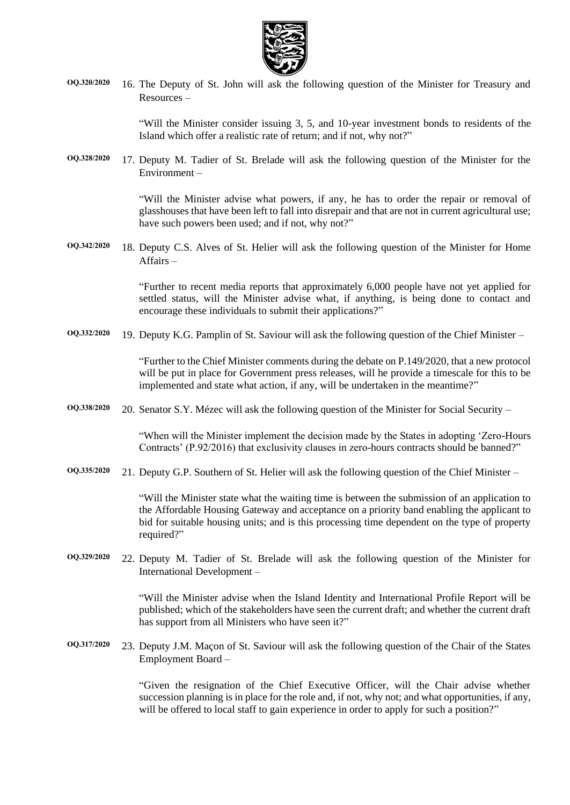

**OQ.320/2020** 16. The Deputy of St. John will ask the following question of the Minister for Treasury and Resources –

> "Will the Minister consider issuing 3, 5, and 10-year investment bonds to residents of the Island which offer a realistic rate of return; and if not, why not?"

**OQ.328/2020** 17. Deputy M. Tadier of St. Brelade will ask the following question of the Minister for the Environment –

> "Will the Minister advise what powers, if any, he has to order the repair or removal of glasshouses that have been left to fall into disrepair and that are not in current agricultural use; have such powers been used; and if not, why not?"

**OQ.342/2020** 18. Deputy C.S. Alves of St. Helier will ask the following question of the Minister for Home Affairs –

> "Further to recent media reports that approximately 6,000 people have not yet applied for settled status, will the Minister advise what, if anything, is being done to contact and encourage these individuals to submit their applications?"

**OQ.332/2020** 19. Deputy K.G. Pamplin of St. Saviour will ask the following question of the Chief Minister –

"Further to the Chief Minister comments during the debate on P.149/2020, that a new protocol will be put in place for Government press releases, will he provide a timescale for this to be implemented and state what action, if any, will be undertaken in the meantime?"

**OQ.338/2020** 20. Senator S.Y. Mézec will ask the following question of the Minister for Social Security –

"When will the Minister implement the decision made by the States in adopting 'Zero-Hours Contracts' (P.92/2016) that exclusivity clauses in zero-hours contracts should be banned?"

**OQ.335/2020** 21. Deputy G.P. Southern of St. Helier will ask the following question of the Chief Minister –

"Will the Minister state what the waiting time is between the submission of an application to the Affordable Housing Gateway and acceptance on a priority band enabling the applicant to bid for suitable housing units; and is this processing time dependent on the type of property required?"

**OQ.329/2020** 22. Deputy M. Tadier of St. Brelade will ask the following question of the Minister for International Development –

> "Will the Minister advise when the Island Identity and International Profile Report will be published; which of the stakeholders have seen the current draft; and whether the current draft has support from all Ministers who have seen it?"

**OQ.317/2020** 23. Deputy J.M. Maçon of St. Saviour will ask the following question of the Chair of the States Employment Board –

> "Given the resignation of the Chief Executive Officer, will the Chair advise whether succession planning is in place for the role and, if not, why not; and what opportunities, if any, will be offered to local staff to gain experience in order to apply for such a position?"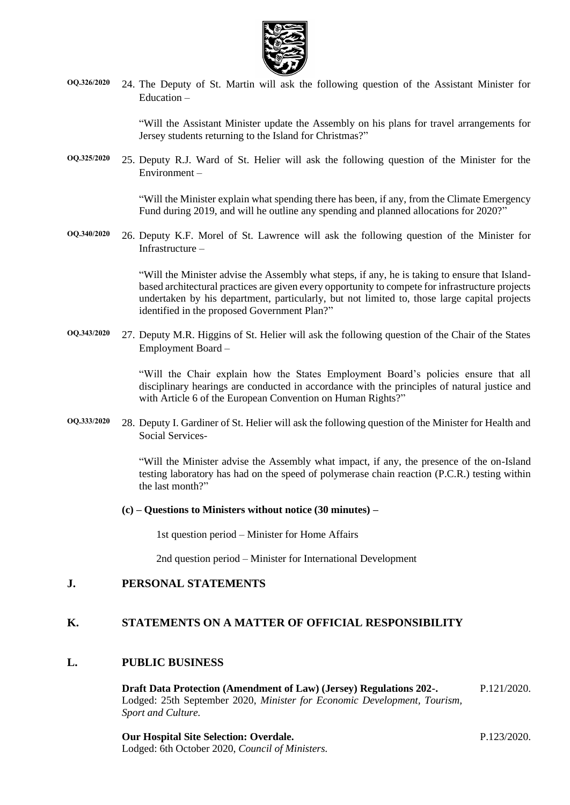

**OQ.326/2020** 24. The Deputy of St. Martin will ask the following question of the Assistant Minister for Education –

> "Will the Assistant Minister update the Assembly on his plans for travel arrangements for Jersey students returning to the Island for Christmas?"

**OQ.325/2020** 25. Deputy R.J. Ward of St. Helier will ask the following question of the Minister for the Environment –

> "Will the Minister explain what spending there has been, if any, from the Climate Emergency Fund during 2019, and will he outline any spending and planned allocations for 2020?"

**OQ.340/2020** 26. Deputy K.F. Morel of St. Lawrence will ask the following question of the Minister for Infrastructure –

> "Will the Minister advise the Assembly what steps, if any, he is taking to ensure that Islandbased architectural practices are given every opportunity to compete for infrastructure projects undertaken by his department, particularly, but not limited to, those large capital projects identified in the proposed Government Plan?"

**OQ.343/2020** 27. Deputy M.R. Higgins of St. Helier will ask the following question of the Chair of the States Employment Board –

> "Will the Chair explain how the States Employment Board's policies ensure that all disciplinary hearings are conducted in accordance with the principles of natural justice and with Article 6 of the European Convention on Human Rights?"

**OQ.333/2020** 28. Deputy I. Gardiner of St. Helier will ask the following question of the Minister for Health and Social Services-

> "Will the Minister advise the Assembly what impact, if any, the presence of the on-Island testing laboratory has had on the speed of polymerase chain reaction (P.C.R.) testing within the last month?"

**(c) – Questions to Ministers without notice (30 minutes) –**

1st question period – Minister for Home Affairs

2nd question period – Minister for International Development

### **J. PERSONAL STATEMENTS**

### **K. STATEMENTS ON A MATTER OF OFFICIAL RESPONSIBILITY**

#### **L. PUBLIC BUSINESS**

**[Draft Data Protection \(Amendment of Law\) \(Jersey\) Regulations 202-.](https://statesassembly.gov.je/assemblypropositions/2020/p.121-2020.pdf)** Lodged: 25th September 2020, *[Minister for Economic Development, Tourism,](https://statesassembly.gov.je/assemblypropositions/2020/p.121-2020.pdf)  [Sport and Culture.](https://statesassembly.gov.je/assemblypropositions/2020/p.121-2020.pdf)* [P.121/2020.](https://statesassembly.gov.je/assemblypropositions/2020/p.121-2020.pdf)

**[Our Hospital Site Selection: Overdale.](https://statesassembly.gov.je/AssemblyPropositions/2020/P.123-2020.pdf)** Lodged: 6th October 2020, *Council of Ministers.* [P.123/2020.](https://statesassembly.gov.je/AssemblyPropositions/2020/P.123-2020.pdf)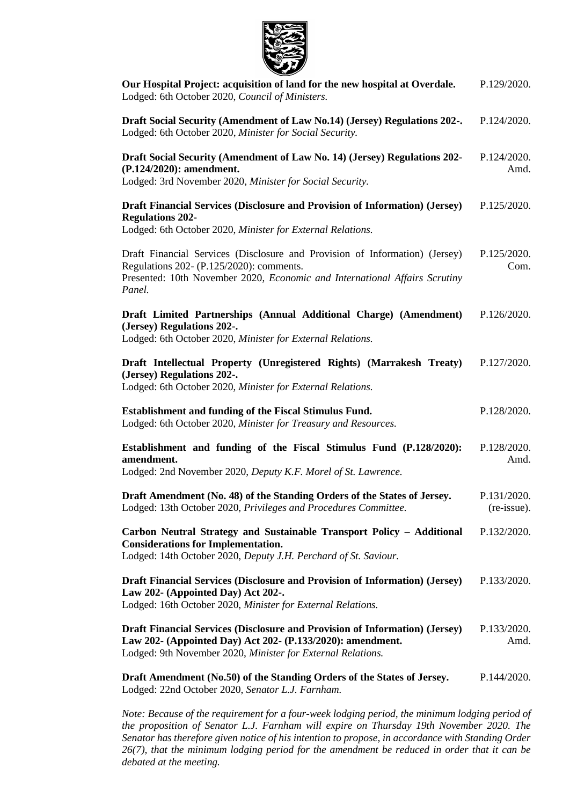

| Our Hospital Project: acquisition of land for the new hospital at Overdale.<br>Lodged: 6th October 2020, Council of Ministers.                                                                                  | P.129/2020.                |
|-----------------------------------------------------------------------------------------------------------------------------------------------------------------------------------------------------------------|----------------------------|
| Draft Social Security (Amendment of Law No.14) (Jersey) Regulations 202-.<br>Lodged: 6th October 2020, Minister for Social Security.                                                                            | P.124/2020.                |
| Draft Social Security (Amendment of Law No. 14) (Jersey) Regulations 202-<br>(P.124/2020): amendment.<br>Lodged: 3rd November 2020, Minister for Social Security.                                               | P.124/2020.<br>Amd.        |
| Draft Financial Services (Disclosure and Provision of Information) (Jersey)<br><b>Regulations 202-</b><br>Lodged: 6th October 2020, Minister for External Relations.                                            | P.125/2020.                |
| Draft Financial Services (Disclosure and Provision of Information) (Jersey)<br>Regulations 202- (P.125/2020): comments.<br>Presented: 10th November 2020, Economic and International Affairs Scrutiny<br>Panel. | P.125/2020.<br>Com.        |
| Draft Limited Partnerships (Annual Additional Charge) (Amendment)<br>(Jersey) Regulations 202-.<br>Lodged: 6th October 2020, Minister for External Relations.                                                   | P.126/2020.                |
| Draft Intellectual Property (Unregistered Rights) (Marrakesh Treaty)<br>(Jersey) Regulations 202-.<br>Lodged: 6th October 2020, Minister for External Relations.                                                | P.127/2020.                |
| Establishment and funding of the Fiscal Stimulus Fund.<br>Lodged: 6th October 2020, Minister for Treasury and Resources.                                                                                        | P.128/2020.                |
| Establishment and funding of the Fiscal Stimulus Fund (P.128/2020):<br>amendment.<br>Lodged: 2nd November 2020, Deputy K.F. Morel of St. Lawrence.                                                              | P.128/2020.<br>Amd.        |
| Draft Amendment (No. 48) of the Standing Orders of the States of Jersey.<br>Lodged: 13th October 2020, Privileges and Procedures Committee.                                                                     | P.131/2020.<br>(re-issue). |
| Carbon Neutral Strategy and Sustainable Transport Policy - Additional<br><b>Considerations for Implementation.</b><br>Lodged: 14th October 2020, Deputy J.H. Perchard of St. Saviour.                           | P.132/2020.                |
| Draft Financial Services (Disclosure and Provision of Information) (Jersey)<br>Law 202- (Appointed Day) Act 202-.<br>Lodged: 16th October 2020, Minister for External Relations.                                | P.133/2020.                |
| Draft Financial Services (Disclosure and Provision of Information) (Jersey)<br>Law 202- (Appointed Day) Act 202- (P.133/2020): amendment.<br>Lodged: 9th November 2020, Minister for External Relations.        | P.133/2020.<br>Amd.        |
| Draft Amendment (No.50) of the Standing Orders of the States of Jersey.<br>Lodged: 22nd October 2020, Senator L.J. Farnham.                                                                                     | P.144/2020.                |

*Note: Because of the requirement for a four-week lodging period, the minimum lodging period of the proposition of Senator L.J. Farnham will expire on Thursday 19th November 2020. The Senator has therefore given notice of his intention to propose, in accordance with Standing Order 26(7), that the minimum lodging period for the amendment be reduced in order that it can be debated at the meeting.*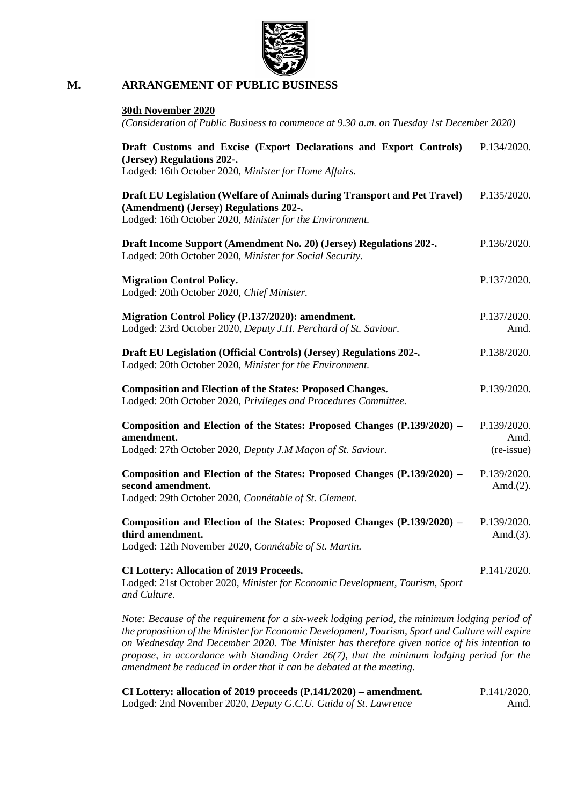

### **M. ARRANGEMENT OF PUBLIC BUSINESS**

#### **30th November 2020**

| (Consideration of Public Business to commence at 9.30 a.m. on Tuesday 1st December 2020) |  |  |
|------------------------------------------------------------------------------------------|--|--|
|                                                                                          |  |  |

| Draft Customs and Excise (Export Declarations and Export Controls)<br>(Jersey) Regulations 202-.<br>Lodged: 16th October 2020, Minister for Home Affairs.                       | P.134/2020.                       |
|---------------------------------------------------------------------------------------------------------------------------------------------------------------------------------|-----------------------------------|
| Draft EU Legislation (Welfare of Animals during Transport and Pet Travel)<br>(Amendment) (Jersey) Regulations 202-.<br>Lodged: 16th October 2020, Minister for the Environment. | P.135/2020.                       |
| Draft Income Support (Amendment No. 20) (Jersey) Regulations 202-.<br>Lodged: 20th October 2020, Minister for Social Security.                                                  | P.136/2020.                       |
| <b>Migration Control Policy.</b><br>Lodged: 20th October 2020, Chief Minister.                                                                                                  | P.137/2020.                       |
| Migration Control Policy (P.137/2020): amendment.<br>Lodged: 23rd October 2020, Deputy J.H. Perchard of St. Saviour.                                                            | P.137/2020.<br>Amd.               |
| Draft EU Legislation (Official Controls) (Jersey) Regulations 202-.<br>Lodged: 20th October 2020, Minister for the Environment.                                                 | P.138/2020.                       |
| <b>Composition and Election of the States: Proposed Changes.</b><br>Lodged: 20th October 2020, Privileges and Procedures Committee.                                             | P.139/2020.                       |
| Composition and Election of the States: Proposed Changes (P.139/2020) –<br>amendment.<br>Lodged: 27th October 2020, Deputy J.M Maçon of St. Saviour.                            | P.139/2020.<br>Amd.<br>(re-issue) |
| Composition and Election of the States: Proposed Changes (P.139/2020) –<br>second amendment.<br>Lodged: 29th October 2020, Connétable of St. Clement.                           | P.139/2020.<br>Amd. $(2)$ .       |
| Composition and Election of the States: Proposed Changes (P.139/2020) –<br>third amendment.<br>Lodged: 12th November 2020, Connétable of St. Martin.                            | P.139/2020.<br>Amd. $(3)$ .       |
| <b>CI Lottery: Allocation of 2019 Proceeds.</b><br>Lodged: 21st October 2020, Minister for Economic Development, Tourism, Sport<br>and Culture.                                 | P.141/2020.                       |

*Note: Because of the requirement for a six-week lodging period, the minimum lodging period of the proposition of the Minister for Economic Development, Tourism, Sport and Culture will expire on Wednesday 2nd December 2020. The Minister has therefore given notice of his intention to propose, in accordance with Standing Order 26(7), that the minimum lodging period for the amendment be reduced in order that it can be debated at the meeting.*

| CI Lottery: allocation of 2019 proceeds $(P.141/2020)$ – amendment. | P.141/2020. |
|---------------------------------------------------------------------|-------------|
| Lodged: 2nd November 2020, Deputy G.C.U. Guida of St. Lawrence      | Amd.        |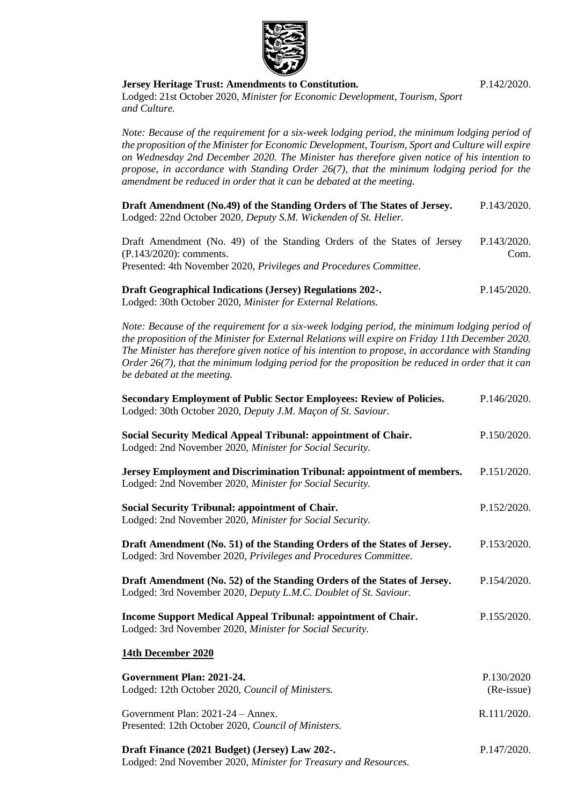

[P.142/2020.](https://statesassembly.gov.je/assemblypropositions/2020/p.142-2020.pdf)

[P.146/2020.](https://statesassembly.gov.je/AssemblyPropositions/2020/P.146-2020.pdf)

**Jersey Heritage Trust: Amendments to Constitution.** Lodged: 21st October 2020, *Minister for Economic Development, Tourism, Sport and Culture.*

*Note: Because of the requirement for a six-week lodging period, the minimum lodging period of the proposition of the Minister for Economic Development, Tourism, Sport and Culture will expire on Wednesday 2nd December 2020. The Minister has therefore given notice of his intention to propose, in accordance with Standing Order 26(7), that the minimum lodging period for the amendment be reduced in order that it can be debated at the meeting.*

**Draft Amendment (No.49) of the Standing Orders of The States of Jersey.** Lodged: 22nd October 2020, *Deputy S.M. Wickenden of St. Helier.* [P.143/2020.](https://statesassembly.gov.je/assemblypropositions/2020/p.143-2020.pdf)

[Draft Amendment \(No. 49\) of the Standing Orders of the States of Jersey](https://statesassembly.gov.je/AssemblyPropositions/2020/P.143-2020Com.pdf)  [\(P.143/2020\): comments.](https://statesassembly.gov.je/AssemblyPropositions/2020/P.143-2020Com.pdf) Presented: 4th November 2020, *[Privileges and Procedures Committee.](https://statesassembly.gov.je/AssemblyPropositions/2020/P.143-2020Com.pdf)* [P.143/2020.](https://statesassembly.gov.je/AssemblyPropositions/2020/P.143-2020Com.pdf) [Com.](https://statesassembly.gov.je/AssemblyPropositions/2020/P.143-2020Com.pdf)

| <b>Draft Geographical Indications (Jersey) Regulations 202-.</b> | P.145/2020. |
|------------------------------------------------------------------|-------------|
| Lodged: 30th October 2020, Minister for External Relations.      |             |

*Note: Because of the requirement for a six-week lodging period, the minimum lodging period of the proposition of the Minister for External Relations will expire on Friday 11th December 2020. The Minister has therefore given notice of his intention to propose, in accordance with Standing Order 26(7), that the minimum lodging period for the proposition be reduced in order that it can be debated at the meeting.*

| <b>Secondary Employment of Public Sector Employees: Review of Policies.</b><br>Lodged: 30th October 2020, Deputy J.M. Maçon of St. Saviour.  | P.146/2020.              |
|----------------------------------------------------------------------------------------------------------------------------------------------|--------------------------|
| Social Security Medical Appeal Tribunal: appointment of Chair.<br>Lodged: 2nd November 2020, Minister for Social Security.                   | P.150/2020.              |
| Jersey Employment and Discrimination Tribunal: appointment of members.<br>Lodged: 2nd November 2020, Minister for Social Security.           | P.151/2020.              |
| <b>Social Security Tribunal: appointment of Chair.</b><br>Lodged: 2nd November 2020, Minister for Social Security.                           | P.152/2020.              |
| Draft Amendment (No. 51) of the Standing Orders of the States of Jersey.<br>Lodged: 3rd November 2020, Privileges and Procedures Committee.  | P.153/2020.              |
| Draft Amendment (No. 52) of the Standing Orders of the States of Jersey.<br>Lodged: 3rd November 2020, Deputy L.M.C. Doublet of St. Saviour. | P.154/2020.              |
| Income Support Medical Appeal Tribunal: appointment of Chair.<br>Lodged: 3rd November 2020, Minister for Social Security.                    | P.155/2020.              |
| 14th December 2020                                                                                                                           |                          |
| Government Plan: 2021-24.<br>Lodged: 12th October 2020, Council of Ministers.                                                                | P.130/2020<br>(Re-issue) |
| Government Plan: 2021-24 - Annex.<br>Presented: 12th October 2020, Council of Ministers.                                                     | R.111/2020.              |
| Draft Finance (2021 Budget) (Jersey) Law 202-.<br>Lodged: 2nd November 2020, Minister for Treasury and Resources.                            | P.147/2020.              |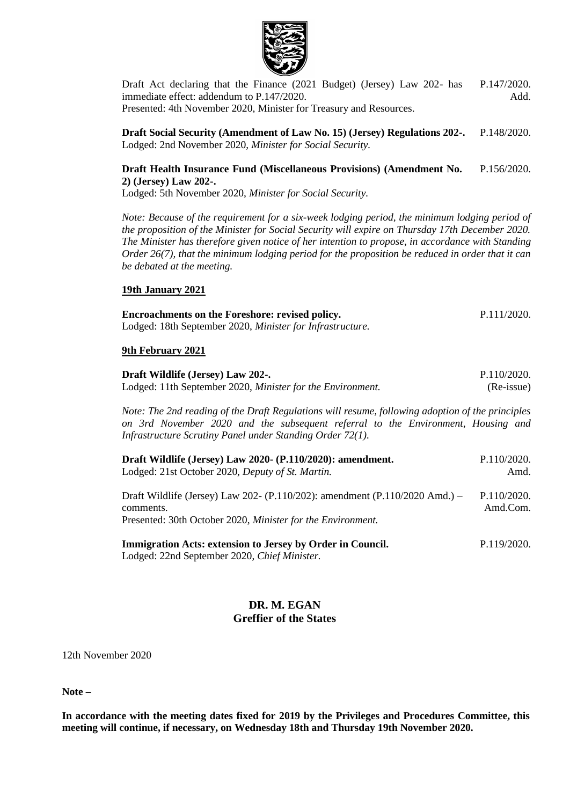

[Draft Act declaring that the Finance \(2021 Budget\) \(Jersey\) Law 202-](https://statesassembly.gov.je/AssemblyPropositions/2020/P.147-2020Add.pdf) has [immediate effect: addendum to P.147/2020.](https://statesassembly.gov.je/AssemblyPropositions/2020/P.147-2020Add.pdf) [Presented: 4th November 2020, Minister for Treasury and Resources.](https://statesassembly.gov.je/AssemblyPropositions/2020/P.147-2020Add.pdf) [P.147/2020.](https://statesassembly.gov.je/AssemblyPropositions/2020/P.147-2020Add.pdf) [Add.](https://statesassembly.gov.je/AssemblyPropositions/2020/P.147-2020Add.pdf)

**[Draft Social Security \(Amendment of Law No. 15\) \(Jersey\) Regulations 202-.](https://statesassembly.gov.je/AssemblyPropositions/2020/P.148-2020.pdf)** [Lodged: 2nd November 2020,](https://statesassembly.gov.je/AssemblyPropositions/2020/P.148-2020.pdf) *Minister for Social Security.* [P.148/2020.](https://statesassembly.gov.je/AssemblyPropositions/2020/P.148-2020.pdf)

#### **[Draft Health Insurance Fund \(Miscellaneous Provisions\) \(Amendment No.](https://statesassembly.gov.je/AssemblyPropositions/2020/P.156-2020.pdf)  [2\) \(Jersey\) Law 202-.](https://statesassembly.gov.je/AssemblyPropositions/2020/P.156-2020.pdf)** P.156/2020.

[Lodged: 5th November 2020,](https://statesassembly.gov.je/AssemblyPropositions/2020/P.156-2020.pdf) *Minister for Social Security.*

*Note: Because of the requirement for a six-week lodging period, the minimum lodging period of the proposition of the Minister for Social Security will expire on Thursday 17th December 2020. The Minister has therefore given notice of her intention to propose, in accordance with Standing Order 26(7), that the minimum lodging period for the proposition be reduced in order that it can be debated at the meeting.*

#### **19th January 2021**

| Encroachments on the Foreshore: revised policy.<br>Lodged: 18th September 2020, Minister for Infrastructure.                                                                                                                                      | P.111/2020.               |  |
|---------------------------------------------------------------------------------------------------------------------------------------------------------------------------------------------------------------------------------------------------|---------------------------|--|
| 9th February 2021                                                                                                                                                                                                                                 |                           |  |
| Draft Wildlife (Jersey) Law 202-.<br>Lodged: 11th September 2020, Minister for the Environment.                                                                                                                                                   | P.110/2020.<br>(Re-issue) |  |
| Note: The 2nd reading of the Draft Regulations will resume, following adoption of the principles<br>on 3rd November 2020 and the subsequent referral to the Environment, Housing and<br>Infrastructure Scrutiny Panel under Standing Order 72(1). |                           |  |
| Draft Wildlife (Jersey) Law 2020- (P.110/2020): amendment.<br>Lodged: 21st October 2020, Deputy of St. Martin.                                                                                                                                    | P.110/2020.<br>Amd.       |  |
| Draft Wildlife (Jersey) Law 202- (P.110/202): amendment (P.110/2020 Amd.) –<br>comments.<br>Presented: 30th October 2020, Minister for the Environment.                                                                                           | P.110/2020.<br>Amd.Com.   |  |
| Immigration Actor ovtangion to Jarcoy by Order in Council                                                                                                                                                                                         | D.110/2020                |  |

**[Immigration Acts: extension to Jersey by Order in Council.](https://statesassembly.gov.je/AssemblyPropositions/2020/P.119-2020.pdf)** [Lodged: 22nd September 2020,](https://statesassembly.gov.je/AssemblyPropositions/2020/P.119-2020.pdf) *Chief Minister.* [P.119/2020.](https://statesassembly.gov.je/AssemblyPropositions/2020/P.119-2020.pdf)

#### **DR. M. EGAN Greffier of the States**

12th November 2020

**Note –**

**In accordance with the meeting dates fixed for 2019 by the Privileges and Procedures Committee, this meeting will continue, if necessary, on Wednesday 18th and Thursday 19th November 2020.**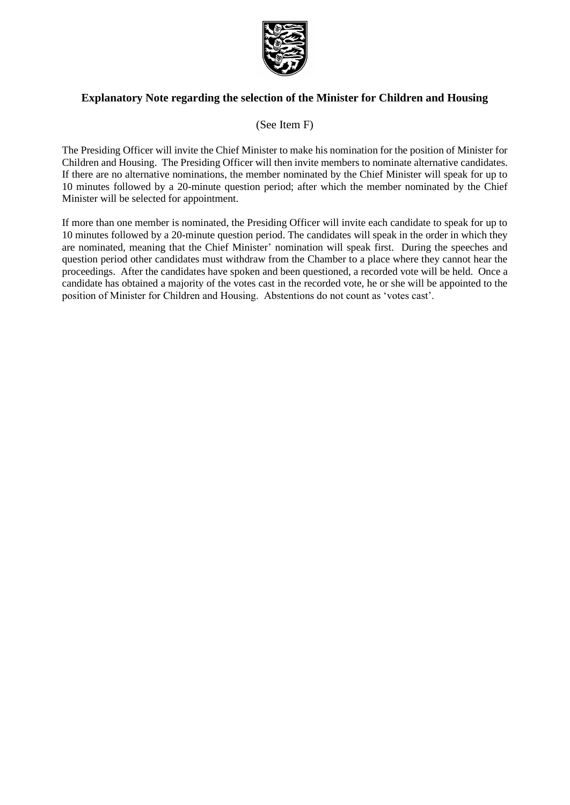

### **Explanatory Note regarding the selection of the Minister for Children and Housing**

### (See Item F)

The Presiding Officer will invite the Chief Minister to make his nomination for the position of Minister for Children and Housing. The Presiding Officer will then invite members to nominate alternative candidates. If there are no alternative nominations, the member nominated by the Chief Minister will speak for up to 10 minutes followed by a 20-minute question period; after which the member nominated by the Chief Minister will be selected for appointment.

If more than one member is nominated, the Presiding Officer will invite each candidate to speak for up to 10 minutes followed by a 20-minute question period. The candidates will speak in the order in which they are nominated, meaning that the Chief Minister' nomination will speak first. During the speeches and question period other candidates must withdraw from the Chamber to a place where they cannot hear the proceedings. After the candidates have spoken and been questioned, a recorded vote will be held. Once a candidate has obtained a majority of the votes cast in the recorded vote, he or she will be appointed to the position of Minister for Children and Housing. Abstentions do not count as 'votes cast'.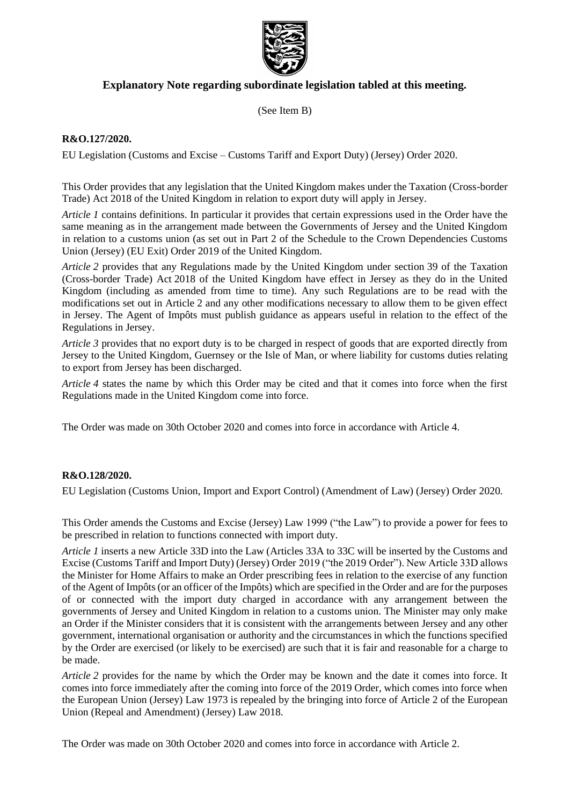

### **Explanatory Note regarding subordinate legislation tabled at this meeting.**

(See Item B)

### **R&O.127/2020.**

EU Legislation (Customs and Excise – Customs Tariff and Export Duty) (Jersey) Order 2020.

This Order provides that any legislation that the United Kingdom makes under the Taxation (Cross-border Trade) Act 2018 of the United Kingdom in relation to export duty will apply in Jersey.

*Article 1* contains definitions. In particular it provides that certain expressions used in the Order have the same meaning as in the arrangement made between the Governments of Jersey and the United Kingdom in relation to a customs union (as set out in Part 2 of the Schedule to the Crown Dependencies Customs Union (Jersey) (EU Exit) Order 2019 of the United Kingdom.

*Article 2* provides that any Regulations made by the United Kingdom under section 39 of the Taxation (Cross-border Trade) Act 2018 of the United Kingdom have effect in Jersey as they do in the United Kingdom (including as amended from time to time). Any such Regulations are to be read with the modifications set out in Article 2 and any other modifications necessary to allow them to be given effect in Jersey. The Agent of Impôts must publish guidance as appears useful in relation to the effect of the Regulations in Jersey.

*Article* 3 provides that no export duty is to be charged in respect of goods that are exported directly from Jersey to the United Kingdom, Guernsey or the Isle of Man, or where liability for customs duties relating to export from Jersey has been discharged.

*Article 4* states the name by which this Order may be cited and that it comes into force when the first Regulations made in the United Kingdom come into force.

The Order was made on 30th October 2020 and comes into force in accordance with Article 4.

### **R&O.128/2020.**

EU Legislation (Customs Union, Import and Export Control) (Amendment of Law) (Jersey) Order 2020.

This Order amends the Customs and Excise (Jersey) Law 1999 ("the Law") to provide a power for fees to be prescribed in relation to functions connected with import duty.

*Article 1* inserts a new Article 33D into the Law (Articles 33A to 33C will be inserted by the Customs and Excise (Customs Tariff and Import Duty) (Jersey) Order 2019 ("the 2019 Order"). New Article 33D allows the Minister for Home Affairs to make an Order prescribing fees in relation to the exercise of any function of the Agent of Impôts (or an officer of the Impôts) which are specified in the Order and are for the purposes of or connected with the import duty charged in accordance with any arrangement between the governments of Jersey and United Kingdom in relation to a customs union. The Minister may only make an Order if the Minister considers that it is consistent with the arrangements between Jersey and any other government, international organisation or authority and the circumstances in which the functions specified by the Order are exercised (or likely to be exercised) are such that it is fair and reasonable for a charge to be made.

*Article* 2 provides for the name by which the Order may be known and the date it comes into force. It comes into force immediately after the coming into force of the 2019 Order, which comes into force when the European Union (Jersey) Law 1973 is repealed by the bringing into force of Article 2 of the European Union (Repeal and Amendment) (Jersey) Law 2018.

The Order was made on 30th October 2020 and comes into force in accordance with Article 2.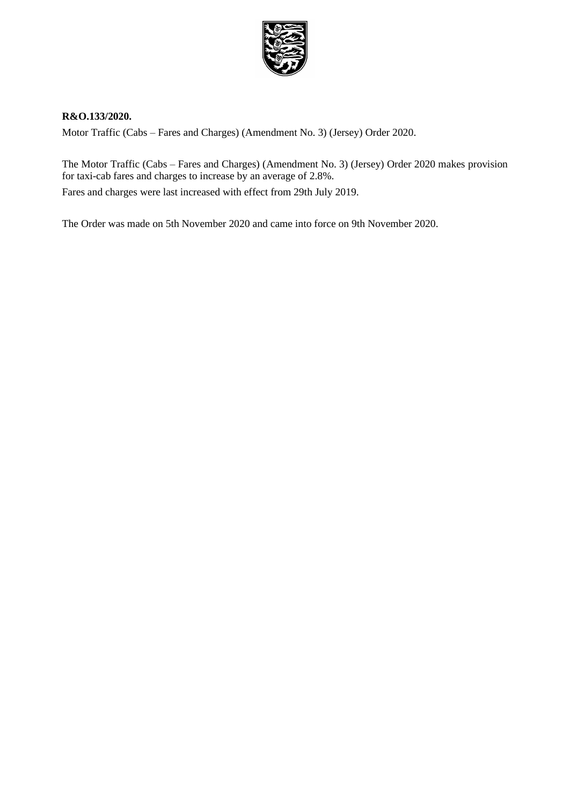

### **R&O.133/2020.**

Motor Traffic (Cabs – Fares and Charges) (Amendment No. 3) (Jersey) Order 2020.

The Motor Traffic (Cabs – Fares and Charges) (Amendment No. 3) (Jersey) Order 2020 makes provision for taxi-cab fares and charges to increase by an average of 2.8%. Fares and charges were last increased with effect from 29th July 2019.

The Order was made on 5th November 2020 and came into force on 9th November 2020.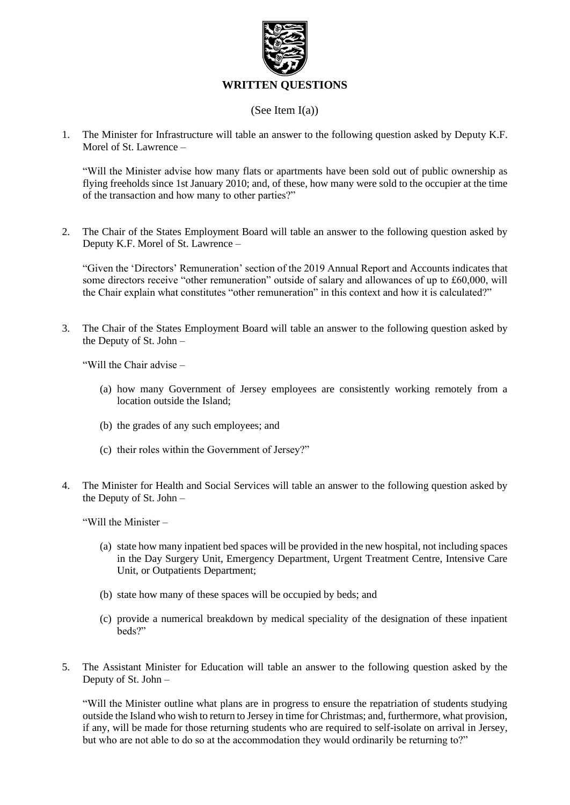

### (See Item I(a))

1. The Minister for Infrastructure will table an answer to the following question asked by Deputy K.F. Morel of St. Lawrence –

"Will the Minister advise how many flats or apartments have been sold out of public ownership as flying freeholds since 1st January 2010; and, of these, how many were sold to the occupier at the time of the transaction and how many to other parties?"

2. The Chair of the States Employment Board will table an answer to the following question asked by Deputy K.F. Morel of St. Lawrence –

"Given the 'Directors' Remuneration' section of the 2019 Annual Report and Accounts indicates that some directors receive "other remuneration" outside of salary and allowances of up to £60,000, will the Chair explain what constitutes "other remuneration" in this context and how it is calculated?"

3. The Chair of the States Employment Board will table an answer to the following question asked by the Deputy of St. John –

"Will the Chair advise –

- (a) how many Government of Jersey employees are consistently working remotely from a location outside the Island;
- (b) the grades of any such employees; and
- (c) their roles within the Government of Jersey?"
- 4. The Minister for Health and Social Services will table an answer to the following question asked by the Deputy of St. John –

"Will the Minister –

- (a) state how many inpatient bed spaces will be provided in the new hospital, not including spaces in the Day Surgery Unit, Emergency Department, Urgent Treatment Centre, Intensive Care Unit, or Outpatients Department;
- (b) state how many of these spaces will be occupied by beds; and
- (c) provide a numerical breakdown by medical speciality of the designation of these inpatient beds?"
- 5. The Assistant Minister for Education will table an answer to the following question asked by the Deputy of St. John –

"Will the Minister outline what plans are in progress to ensure the repatriation of students studying outside the Island who wish to return to Jersey in time for Christmas; and, furthermore, what provision, if any, will be made for those returning students who are required to self-isolate on arrival in Jersey, but who are not able to do so at the accommodation they would ordinarily be returning to?"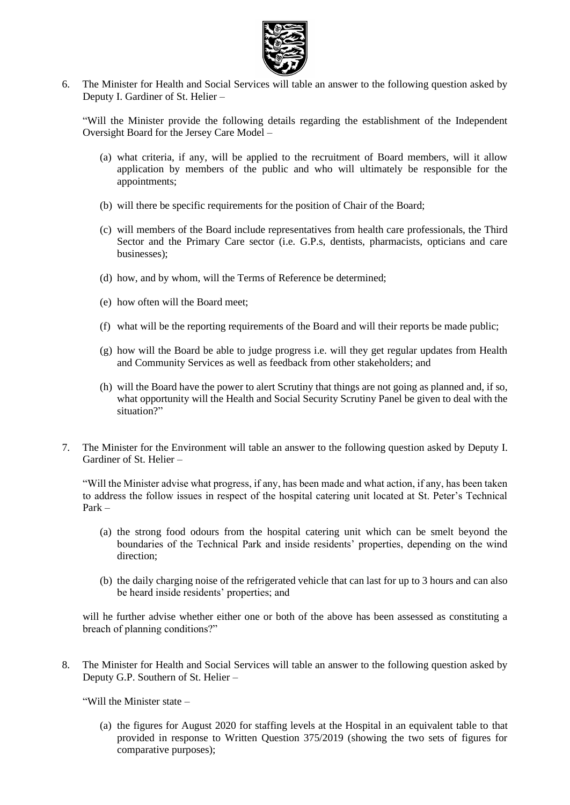

6. The Minister for Health and Social Services will table an answer to the following question asked by Deputy I. Gardiner of St. Helier –

"Will the Minister provide the following details regarding the establishment of the Independent Oversight Board for the Jersey Care Model –

- (a) what criteria, if any, will be applied to the recruitment of Board members, will it allow application by members of the public and who will ultimately be responsible for the appointments;
- (b) will there be specific requirements for the position of Chair of the Board;
- (c) will members of the Board include representatives from health care professionals, the Third Sector and the Primary Care sector (i.e. G.P.s, dentists, pharmacists, opticians and care businesses);
- (d) how, and by whom, will the Terms of Reference be determined;
- (e) how often will the Board meet;
- (f) what will be the reporting requirements of the Board and will their reports be made public;
- (g) how will the Board be able to judge progress i.e. will they get regular updates from Health and Community Services as well as feedback from other stakeholders; and
- (h) will the Board have the power to alert Scrutiny that things are not going as planned and, if so, what opportunity will the Health and Social Security Scrutiny Panel be given to deal with the situation?"
- 7. The Minister for the Environment will table an answer to the following question asked by Deputy I. Gardiner of St. Helier –

"Will the Minister advise what progress, if any, has been made and what action, if any, has been taken to address the follow issues in respect of the hospital catering unit located at St. Peter's Technical Park –

- (a) the strong food odours from the hospital catering unit which can be smelt beyond the boundaries of the Technical Park and inside residents' properties, depending on the wind direction;
- (b) the daily charging noise of the refrigerated vehicle that can last for up to 3 hours and can also be heard inside residents' properties; and

will he further advise whether either one or both of the above has been assessed as constituting a breach of planning conditions?"

8. The Minister for Health and Social Services will table an answer to the following question asked by Deputy G.P. Southern of St. Helier –

"Will the Minister state –

(a) the figures for August 2020 for staffing levels at the Hospital in an equivalent table to that provided in response to Written Question 375/2019 (showing the two sets of figures for comparative purposes);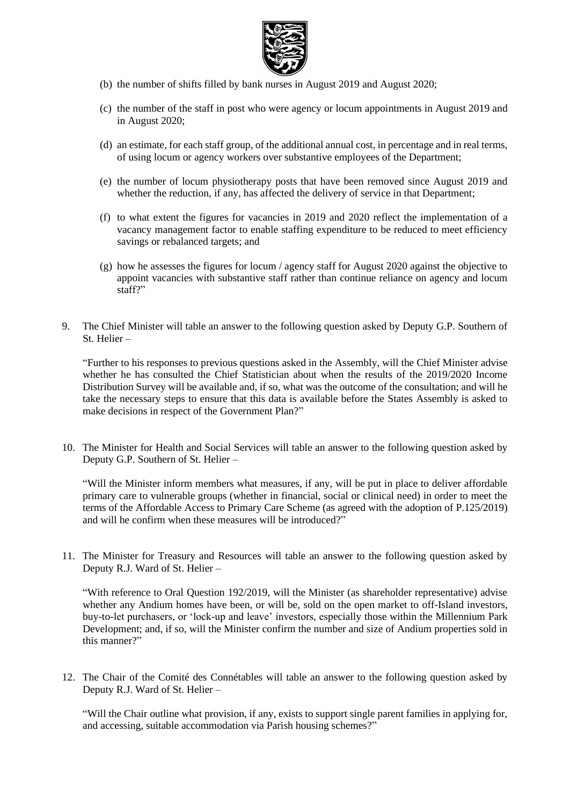

- (b) the number of shifts filled by bank nurses in August 2019 and August 2020;
- (c) the number of the staff in post who were agency or locum appointments in August 2019 and in August 2020;
- (d) an estimate, for each staff group, of the additional annual cost, in percentage and in real terms, of using locum or agency workers over substantive employees of the Department;
- (e) the number of locum physiotherapy posts that have been removed since August 2019 and whether the reduction, if any, has affected the delivery of service in that Department;
- (f) to what extent the figures for vacancies in 2019 and 2020 reflect the implementation of a vacancy management factor to enable staffing expenditure to be reduced to meet efficiency savings or rebalanced targets; and
- (g) how he assesses the figures for locum / agency staff for August 2020 against the objective to appoint vacancies with substantive staff rather than continue reliance on agency and locum staff?"
- 9. The Chief Minister will table an answer to the following question asked by Deputy G.P. Southern of St. Helier –

"Further to his responses to previous questions asked in the Assembly, will the Chief Minister advise whether he has consulted the Chief Statistician about when the results of the 2019/2020 Income Distribution Survey will be available and, if so, what was the outcome of the consultation; and will he take the necessary steps to ensure that this data is available before the States Assembly is asked to make decisions in respect of the Government Plan?"

10. The Minister for Health and Social Services will table an answer to the following question asked by Deputy G.P. Southern of St. Helier –

"Will the Minister inform members what measures, if any, will be put in place to deliver affordable primary care to vulnerable groups (whether in financial, social or clinical need) in order to meet the terms of the Affordable Access to Primary Care Scheme (as agreed with the adoption of P.125/2019) and will he confirm when these measures will be introduced?"

11. The Minister for Treasury and Resources will table an answer to the following question asked by Deputy R.J. Ward of St. Helier –

"With reference to Oral Question 192/2019, will the Minister (as shareholder representative) advise whether any Andium homes have been, or will be, sold on the open market to off-Island investors, buy-to-let purchasers, or 'lock-up and leave' investors, especially those within the Millennium Park Development; and, if so, will the Minister confirm the number and size of Andium properties sold in this manner?"

12. The Chair of the Comité des Connétables will table an answer to the following question asked by Deputy R.J. Ward of St. Helier –

"Will the Chair outline what provision, if any, exists to support single parent families in applying for, and accessing, suitable accommodation via Parish housing schemes?"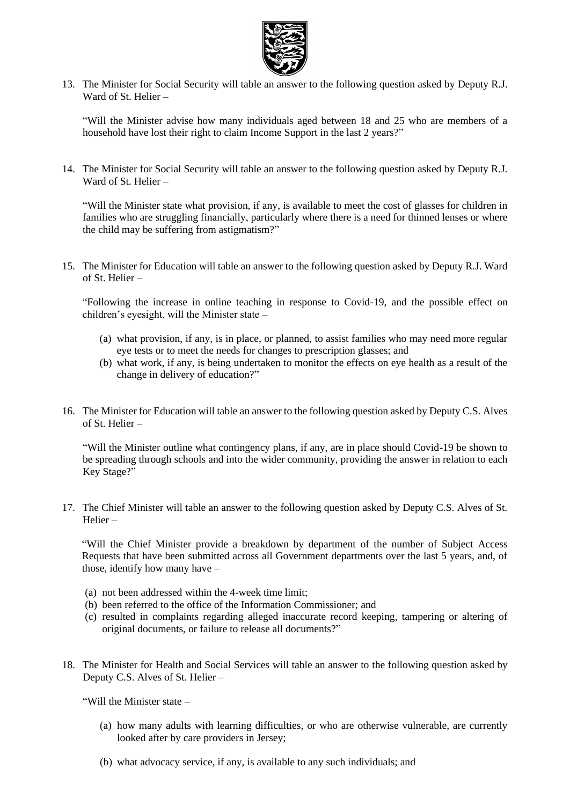

13. The Minister for Social Security will table an answer to the following question asked by Deputy R.J. Ward of St. Helier –

"Will the Minister advise how many individuals aged between 18 and 25 who are members of a household have lost their right to claim Income Support in the last 2 years?"

14. The Minister for Social Security will table an answer to the following question asked by Deputy R.J. Ward of St. Helier –

"Will the Minister state what provision, if any, is available to meet the cost of glasses for children in families who are struggling financially, particularly where there is a need for thinned lenses or where the child may be suffering from astigmatism?"

15. The Minister for Education will table an answer to the following question asked by Deputy R.J. Ward of St. Helier –

"Following the increase in online teaching in response to Covid-19, and the possible effect on children's eyesight, will the Minister state –

- (a) what provision, if any, is in place, or planned, to assist families who may need more regular eye tests or to meet the needs for changes to prescription glasses; and
- (b) what work, if any, is being undertaken to monitor the effects on eye health as a result of the change in delivery of education?"
- 16. The Minister for Education will table an answer to the following question asked by Deputy C.S. Alves of St. Helier –

"Will the Minister outline what contingency plans, if any, are in place should Covid-19 be shown to be spreading through schools and into the wider community, providing the answer in relation to each Key Stage?"

17. The Chief Minister will table an answer to the following question asked by Deputy C.S. Alves of St. Helier –

"Will the Chief Minister provide a breakdown by department of the number of Subject Access Requests that have been submitted across all Government departments over the last 5 years, and, of those, identify how many have –

- (a) not been addressed within the 4-week time limit;
- (b) been referred to the office of the Information Commissioner; and
- (c) resulted in complaints regarding alleged inaccurate record keeping, tampering or altering of original documents, or failure to release all documents?"
- 18. The Minister for Health and Social Services will table an answer to the following question asked by Deputy C.S. Alves of St. Helier –

"Will the Minister state –

- (a) how many adults with learning difficulties, or who are otherwise vulnerable, are currently looked after by care providers in Jersey;
- (b) what advocacy service, if any, is available to any such individuals; and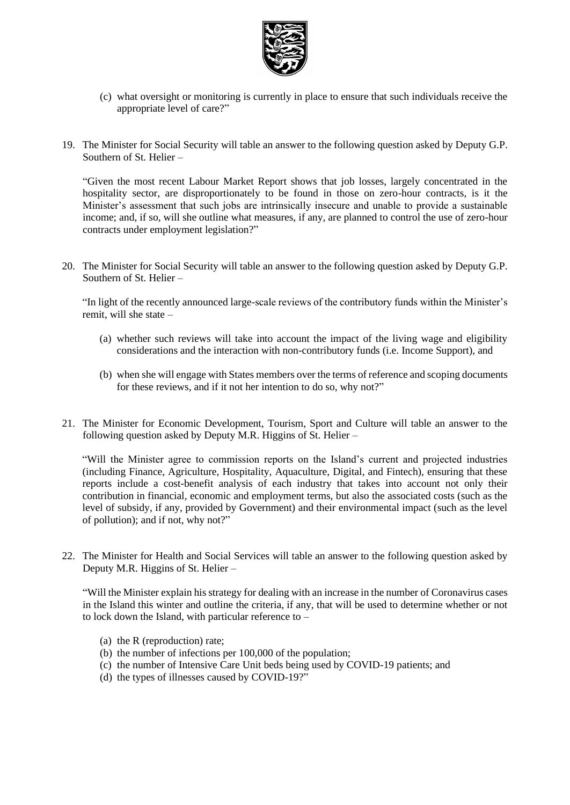

- (c) what oversight or monitoring is currently in place to ensure that such individuals receive the appropriate level of care?"
- 19. The Minister for Social Security will table an answer to the following question asked by Deputy G.P. Southern of St. Helier –

"Given the most recent Labour Market Report shows that job losses, largely concentrated in the hospitality sector, are disproportionately to be found in those on zero-hour contracts, is it the Minister's assessment that such jobs are intrinsically insecure and unable to provide a sustainable income; and, if so, will she outline what measures, if any, are planned to control the use of zero-hour contracts under employment legislation?"

20. The Minister for Social Security will table an answer to the following question asked by Deputy G.P. Southern of St. Helier –

"In light of the recently announced large-scale reviews of the contributory funds within the Minister's remit, will she state –

- (a) whether such reviews will take into account the impact of the living wage and eligibility considerations and the interaction with non-contributory funds (i.e. Income Support), and
- (b) when she will engage with States members over the terms of reference and scoping documents for these reviews, and if it not her intention to do so, why not?"
- 21. The Minister for Economic Development, Tourism, Sport and Culture will table an answer to the following question asked by Deputy M.R. Higgins of St. Helier –

"Will the Minister agree to commission reports on the Island's current and projected industries (including Finance, Agriculture, Hospitality, Aquaculture, Digital, and Fintech), ensuring that these reports include a cost-benefit analysis of each industry that takes into account not only their contribution in financial, economic and employment terms, but also the associated costs (such as the level of subsidy, if any, provided by Government) and their environmental impact (such as the level of pollution); and if not, why not?"

22. The Minister for Health and Social Services will table an answer to the following question asked by Deputy M.R. Higgins of St. Helier –

"Will the Minister explain his strategy for dealing with an increase in the number of Coronavirus cases in the Island this winter and outline the criteria, if any, that will be used to determine whether or not to lock down the Island, with particular reference to –

- (a) the R (reproduction) rate;
- (b) the number of infections per 100,000 of the population;
- (c) the number of Intensive Care Unit beds being used by COVID-19 patients; and
- (d) the types of illnesses caused by COVID-19?"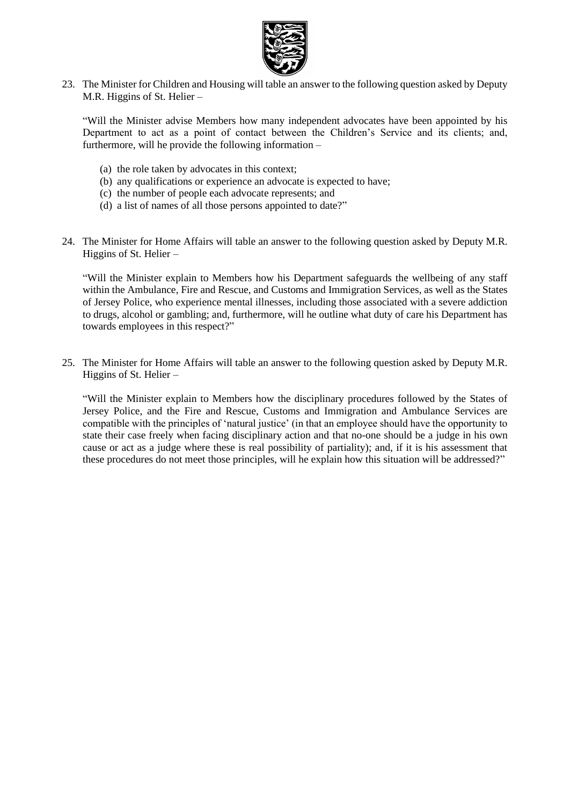

23. The Minister for Children and Housing will table an answer to the following question asked by Deputy M.R. Higgins of St. Helier –

"Will the Minister advise Members how many independent advocates have been appointed by his Department to act as a point of contact between the Children's Service and its clients; and, furthermore, will he provide the following information –

- (a) the role taken by advocates in this context;
- (b) any qualifications or experience an advocate is expected to have;
- (c) the number of people each advocate represents; and
- (d) a list of names of all those persons appointed to date?"
- 24. The Minister for Home Affairs will table an answer to the following question asked by Deputy M.R. Higgins of St. Helier –

"Will the Minister explain to Members how his Department safeguards the wellbeing of any staff within the Ambulance, Fire and Rescue, and Customs and Immigration Services, as well as the States of Jersey Police, who experience mental illnesses, including those associated with a severe addiction to drugs, alcohol or gambling; and, furthermore, will he outline what duty of care his Department has towards employees in this respect?"

25. The Minister for Home Affairs will table an answer to the following question asked by Deputy M.R. Higgins of St. Helier –

"Will the Minister explain to Members how the disciplinary procedures followed by the States of Jersey Police, and the Fire and Rescue, Customs and Immigration and Ambulance Services are compatible with the principles of 'natural justice' (in that an employee should have the opportunity to state their case freely when facing disciplinary action and that no-one should be a judge in his own cause or act as a judge where these is real possibility of partiality); and, if it is his assessment that these procedures do not meet those principles, will he explain how this situation will be addressed?"